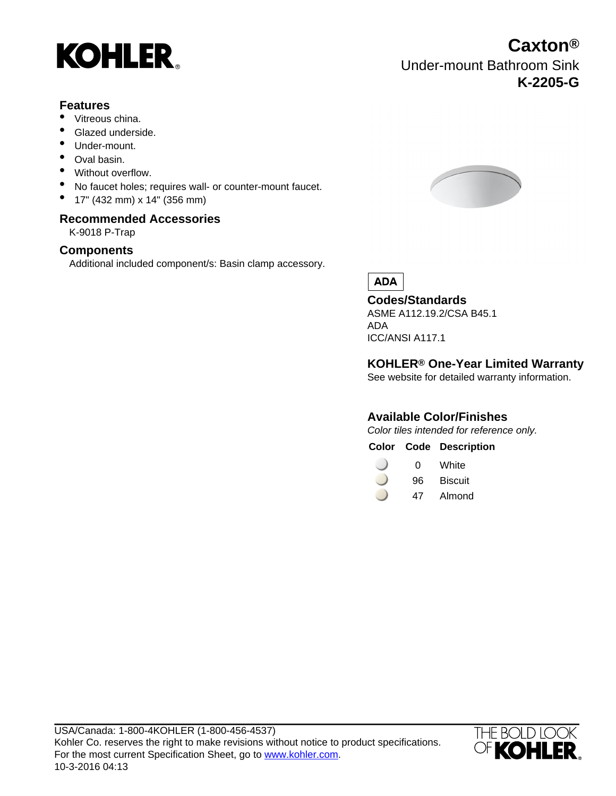

#### **Features**

- Vitreous china.
- Glazed underside.
- Under-mount.
- Oval basin.
- Without overflow.
- No faucet holes; requires wall- or counter-mount faucet.
- 17" (432 mm) x 14" (356 mm)

#### **Recommended Accessories**

K-9018 P-Trap

#### **Components**

Additional included component/s: Basin clamp accessory.



**ADA** 

**Codes/Standards** ASME A112.19.2/CSA B45.1

ADA ICC/ANSI A117.1

### **KOHLER® One-Year Limited Warranty**

See website for detailed warranty information.

### **Available Color/Finishes**

Color tiles intended for reference only.

**Color Code Description**

- 0 White
- 96 Biscuit
- 47 Almond



**Caxton®** Under-mount Bathroom Sink **K-2205-G**